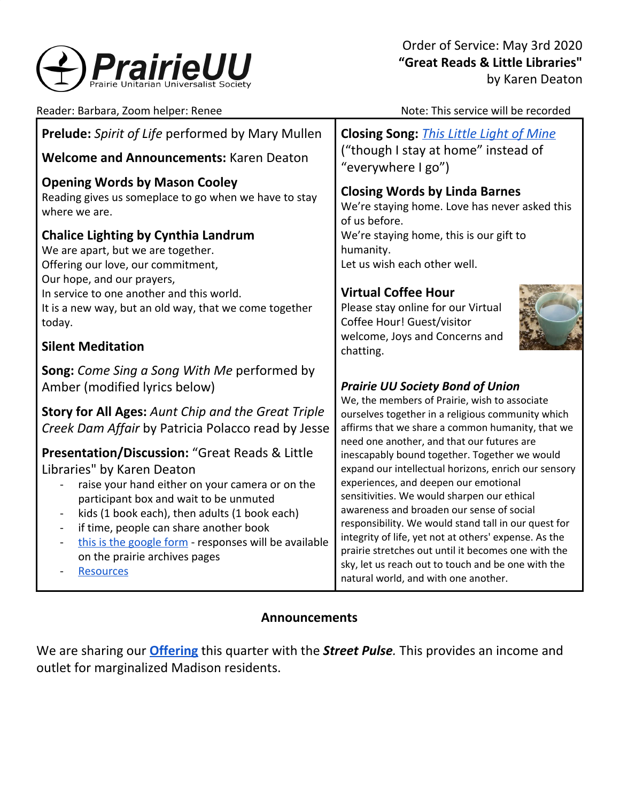

| Reader: Barbara, Zoom helper: Renee                                                                                                                                                                                                                                                                                                                                                                                               | Note: This service will be recorded                                                                                                                                                                                                                                                                                                                                                                                                                                                                              |
|-----------------------------------------------------------------------------------------------------------------------------------------------------------------------------------------------------------------------------------------------------------------------------------------------------------------------------------------------------------------------------------------------------------------------------------|------------------------------------------------------------------------------------------------------------------------------------------------------------------------------------------------------------------------------------------------------------------------------------------------------------------------------------------------------------------------------------------------------------------------------------------------------------------------------------------------------------------|
| Prelude: Spirit of Life performed by Mary Mullen                                                                                                                                                                                                                                                                                                                                                                                  | <b>Closing Song: This Little Light of Mine</b>                                                                                                                                                                                                                                                                                                                                                                                                                                                                   |
| <b>Welcome and Announcements: Karen Deaton</b>                                                                                                                                                                                                                                                                                                                                                                                    | ("though I stay at home" instead of<br>"everywhere I go")                                                                                                                                                                                                                                                                                                                                                                                                                                                        |
| <b>Opening Words by Mason Cooley</b><br>Reading gives us someplace to go when we have to stay<br>where we are.                                                                                                                                                                                                                                                                                                                    | <b>Closing Words by Linda Barnes</b><br>We're staying home. Love has never asked this<br>of us before.                                                                                                                                                                                                                                                                                                                                                                                                           |
| <b>Chalice Lighting by Cynthia Landrum</b><br>We are apart, but we are together.<br>Offering our love, our commitment,<br>Our hope, and our prayers,<br>In service to one another and this world.<br>It is a new way, but an old way, that we come together<br>today.                                                                                                                                                             | We're staying home, this is our gift to<br>humanity.<br>Let us wish each other well.<br><b>Virtual Coffee Hour</b><br>Please stay online for our Virtual<br>Coffee Hour! Guest/visitor                                                                                                                                                                                                                                                                                                                           |
| <b>Silent Meditation</b>                                                                                                                                                                                                                                                                                                                                                                                                          | welcome, Joys and Concerns and<br>chatting.                                                                                                                                                                                                                                                                                                                                                                                                                                                                      |
| <b>Song:</b> Come Sing a Song With Me performed by<br>Amber (modified lyrics below)                                                                                                                                                                                                                                                                                                                                               | <b>Prairie UU Society Bond of Union</b>                                                                                                                                                                                                                                                                                                                                                                                                                                                                          |
| <b>Story for All Ages: Aunt Chip and the Great Triple</b><br>Creek Dam Affair by Patricia Polacco read by Jesse                                                                                                                                                                                                                                                                                                                   | We, the members of Prairie, wish to associate<br>ourselves together in a religious community which<br>affirms that we share a common humanity, that we<br>need one another, and that our futures are                                                                                                                                                                                                                                                                                                             |
| <b>Presentation/Discussion: "Great Reads &amp; Little</b><br>Libraries" by Karen Deaton<br>raise your hand either on your camera or on the<br>participant box and wait to be unmuted<br>kids (1 book each), then adults (1 book each)<br>if time, people can share another book<br>$\blacksquare$<br>this is the google form - responses will be available<br>$\blacksquare$<br>on the prairie archives pages<br><b>Resources</b> | inescapably bound together. Together we would<br>expand our intellectual horizons, enrich our sensory<br>experiences, and deepen our emotional<br>sensitivities. We would sharpen our ethical<br>awareness and broaden our sense of social<br>responsibility. We would stand tall in our quest for<br>integrity of life, yet not at others' expense. As the<br>prairie stretches out until it becomes one with the<br>sky, let us reach out to touch and be one with the<br>natural world, and with one another. |

## **Announcements**

We are sharing our **[Offering](https://www.paypal.com/cgi-bin/webscr?cmd=_s-xclick&hosted_button_id=T3LVLF6FD6LPE&source=url)** this quarter with the *Street Pulse.* This provides an income and outlet for marginalized Madison residents.